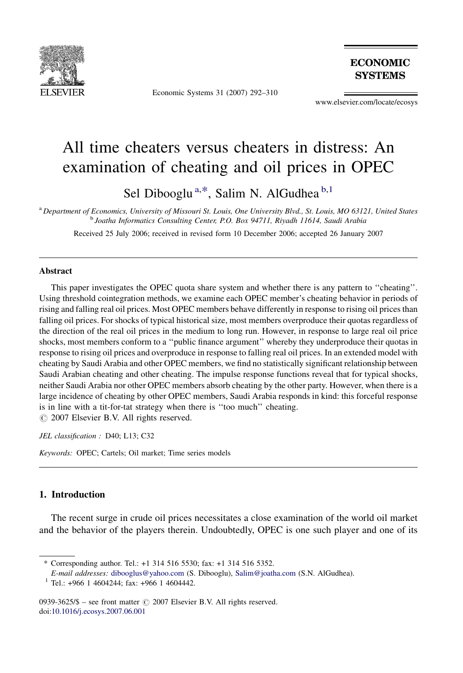

Economic Systems 31 (2007) 292–310

**ECONOMIC SYSTEMS** 

www.elsevier.com/locate/ecosys

## All time cheaters versus cheaters in distress: An examination of cheating and oil prices in OPEC

Sel Dibooglu<sup>a,\*</sup>, Salim N. AlGudhea<sup>b,1</sup>

<sup>a</sup> Department of Economics, University of Missouri St. Louis, One University Blvd., St. Louis, MO 63121, United States <sup>b</sup> Joatha Informatics Consulting Center, P.O. Box 94711, Riyadh 11614, Saudi Arabia

Received 25 July 2006; received in revised form 10 December 2006; accepted 26 January 2007

## **Abstract**

This paper investigates the OPEC quota share system and whether there is any pattern to ''cheating''. Using threshold cointegration methods, we examine each OPEC member's cheating behavior in periods of rising and falling real oil prices. Most OPEC members behave differently in response to rising oil prices than falling oil prices. For shocks of typical historical size, most members overproduce their quotas regardless of the direction of the real oil prices in the medium to long run. However, in response to large real oil price shocks, most members conform to a ''public finance argument'' whereby they underproduce their quotas in response to rising oil prices and overproduce in response to falling real oil prices. In an extended model with cheating by Saudi Arabia and other OPEC members, we find no statistically significant relationship between Saudi Arabian cheating and other cheating. The impulse response functions reveal that for typical shocks, neither Saudi Arabia nor other OPEC members absorb cheating by the other party. However, when there is a large incidence of cheating by other OPEC members, Saudi Arabia responds in kind: this forceful response is in line with a tit-for-tat strategy when there is ''too much'' cheating.

 $\odot$  2007 Elsevier B.V. All rights reserved.

JEL classification : D40; L13; C32

Keywords: OPEC; Cartels; Oil market; Time series models

## 1. Introduction

The recent surge in crude oil prices necessitates a close examination of the world oil market and the behavior of the players therein. Undoubtedly, OPEC is one such player and one of its

<sup>\*</sup> Corresponding author. Tel.: +1 314 516 5530; fax: +1 314 516 5352.

E-mail addresses: [dibooglus@yahoo.com](mailto:dibooglus@yahoo.com) (S. Dibooglu), [Salim@joatha.com](mailto:Salim@joatha.com) (S.N. AlGudhea).

 $1$  Tel.: +966 1 4604244; fax: +966 1 4604442.

<sup>0939-3625/\$ –</sup> see front matter  $\odot$  2007 Elsevier B.V. All rights reserved. doi[:10.1016/j.ecosys.2007.06.001](http://dx.doi.org/10.1016/j.ecosys.2007.06.001)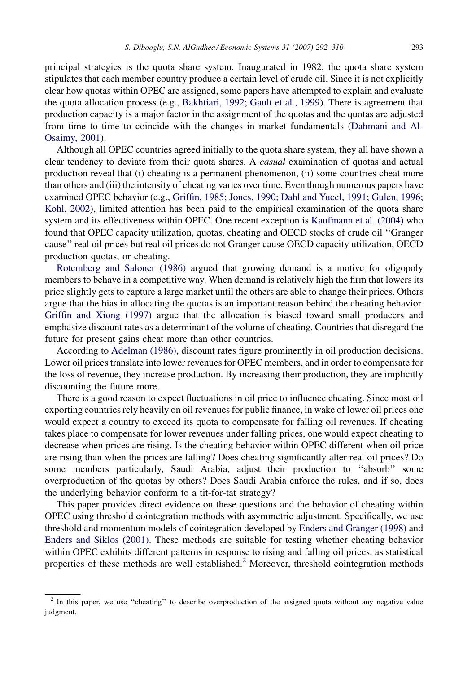principal strategies is the quota share system. Inaugurated in 1982, the quota share system stipulates that each member country produce a certain level of crude oil. Since it is not explicitly clear how quotas within OPEC are assigned, some papers have attempted to explain and evaluate the quota allocation process (e.g., [Bakhtiari, 1992; Gault et al., 1999](#page--1-0)). There is agreement that production capacity is a major factor in the assignment of the quotas and the quotas are adjusted from time to time to coincide with the changes in market fundamentals [\(Dahmani and Al-](#page--1-0)[Osaimy, 2001\)](#page--1-0).

Although all OPEC countries agreed initially to the quota share system, they all have shown a clear tendency to deviate from their quota shares. A *casual* examination of quotas and actual production reveal that (i) cheating is a permanent phenomenon, (ii) some countries cheat more than others and (iii) the intensity of cheating varies over time. Even though numerous papers have examined OPEC behavior (e.g., [Griffin, 1985; Jones, 1990; Dahl and Yucel, 1991; Gulen, 1996;](#page--1-0) [Kohl, 2002](#page--1-0)), limited attention has been paid to the empirical examination of the quota share system and its effectiveness within OPEC. One recent exception is [Kaufmann et al. \(2004\)](#page--1-0) who found that OPEC capacity utilization, quotas, cheating and OECD stocks of crude oil ''Granger cause'' real oil prices but real oil prices do not Granger cause OECD capacity utilization, OECD production quotas, or cheating.

[Rotemberg and Saloner \(1986\)](#page--1-0) argued that growing demand is a motive for oligopoly members to behave in a competitive way. When demand is relatively high the firm that lowers its price slightly gets to capture a large market until the others are able to change their prices. Others argue that the bias in allocating the quotas is an important reason behind the cheating behavior. [Griffin and Xiong \(1997\)](#page--1-0) argue that the allocation is biased toward small producers and emphasize discount rates as a determinant of the volume of cheating. Countries that disregard the future for present gains cheat more than other countries.

According to [Adelman \(1986\)](#page--1-0), discount rates figure prominently in oil production decisions. Lower oil prices translate into lower revenues for OPEC members, and in order to compensate for the loss of revenue, they increase production. By increasing their production, they are implicitly discounting the future more.

There is a good reason to expect fluctuations in oil price to influence cheating. Since most oil exporting countries rely heavily on oil revenues for public finance, in wake of lower oil prices one would expect a country to exceed its quota to compensate for falling oil revenues. If cheating takes place to compensate for lower revenues under falling prices, one would expect cheating to decrease when prices are rising. Is the cheating behavior within OPEC different when oil price are rising than when the prices are falling? Does cheating significantly alter real oil prices? Do some members particularly, Saudi Arabia, adjust their production to ''absorb'' some overproduction of the quotas by others? Does Saudi Arabia enforce the rules, and if so, does the underlying behavior conform to a tit-for-tat strategy?

This paper provides direct evidence on these questions and the behavior of cheating within OPEC using threshold cointegration methods with asymmetric adjustment. Specifically, we use threshold and momentum models of cointegration developed by [Enders and Granger \(1998\)](#page--1-0) and [Enders and Siklos \(2001\).](#page--1-0) These methods are suitable for testing whether cheating behavior within OPEC exhibits different patterns in response to rising and falling oil prices, as statistical properties of these methods are well established.<sup>2</sup> Moreover, threshold cointegration methods

<sup>&</sup>lt;sup>2</sup> In this paper, we use "cheating" to describe overproduction of the assigned quota without any negative value judgment.